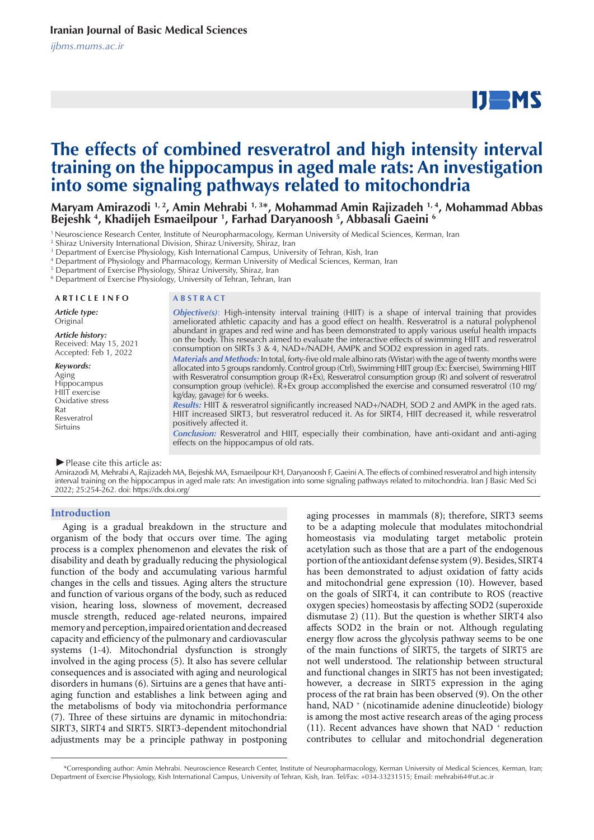# $IJ$  MS

## **The effects of combined resveratrol and high intensity interval training on the hippocampus in aged male rats: An investigation into some signaling pathways related to mitochondria**

**Maryam Amirazodi 1, 2, Amin Mehrabi 1, 3\*, Mohammad Amin Rajizadeh 1, 4, Mohammad Abbas Bejeshk 4 , Khadijeh Esmaeilpour 1 , Farhad Daryanoosh 5 , Abbasali Gaeini 6**

1 Neuroscience Research Center, Institute of Neuropharmacology, Kerman University of Medical Sciences, Kerman, Iran

2 Shiraz University International Division, Shiraz University, Shiraz, Iran

3 Department of Exercise Physiology, Kish International Campus, University of Tehran, Kish, Iran

4 Department of Physiology and Pharmacology, Kerman University of Medical Sciences, Kerman, Iran

5 Department of Exercise Physiology, Shiraz University, Shiraz, Iran

6 Department of Exercise Physiology, University of Tehran, Tehran, Iran

#### **A R T I C L E I N F O A B S T R A C T**

*Article type:* Original

*Article history:* Received: May 15, 2021 Accepted: Feb 1, 2022

*Keywords:* Aging Hippocampus HIIT exercise Oxidative stress Rat Resveratrol Sirtuins

*Objective(s)*: High-intensity interval training (HIIT) is a shape of interval training that provides ameliorated athletic capacity and has a good effect on health. Resveratrol is a natural polyphenol abundant in grapes and red wine and has been demonstrated to apply various useful health impacts on the body. This research aimed to evaluate the interactive effects of swimming HIIT and resveratrol consumption on SIRTs 3 & 4, NAD+/NADH, AMPK and SOD2 expression in aged rats.

*Materials and Methods:*In total, forty-five old male albino rats (Wistar) with the age of twenty months were allocated into 5 groups randomly. Control group (Ctrl), Swimming HIIT group (Ex: Exercise), Swimming HIIT with Resveratrol consumption group (R+Ex), Resveratrol consumption group (R) and solvent of resveratrol consumption group (vehicle). R+Ex group accomplished the exercise and consumed resveratrol (10 mg/ kg/day, gavage) for 6 weeks.

*Results:* HIIT & resveratrol significantly increased NAD+/NADH, SOD 2 and AMPK in the aged rats. HIIT increased SIRT3, but resveratrol reduced it. As for SIRT4, HIIT decreased it, while resveratrol positively affected it.

*Conclusion:* Resveratrol and HIIT, especially their combination, have anti-oxidant and anti-aging effects on the hippocampus of old rats.

*►*Please cite this article as:

Amirazodi M, Mehrabi A, Rajizadeh MA, Bejeshk MA, Esmaeilpour KH, Daryanoosh F, Gaeini A. The effects of combined resveratrol and high intensity interval training on the hippocampus in aged male rats: An investigation into some signaling pathways related to mitochondria. Iran J Basic Med Sci 2022; 25:254-262. doi: https://dx.doi.org/

#### **Introduction**

Aging is a gradual breakdown in the structure and organism of the body that occurs over time. The aging process is a complex phenomenon and elevates the risk of disability and death by gradually reducing the physiological function of the body and accumulating various harmful changes in the cells and tissues. Aging alters the structure and function of various organs of the body, such as reduced vision, hearing loss, slowness of movement, decreased muscle strength, reduced age-related neurons, impaired memory and perception, impaired orientation and decreased capacity and efficiency of the pulmonary and cardiovascular systems (1-4). Mitochondrial dysfunction is strongly involved in the aging process (5). It also has severe cellular consequences and is associated with aging and neurological disorders in humans (6). Sirtuins are a genes that have antiaging function and establishes a link between aging and the metabolisms of body via mitochondria performance (7). Three of these sirtuins are dynamic in mitochondria: SIRT3, SIRT4 and SIRT5. SIRT3-dependent mitochondrial adjustments may be a principle pathway in postponing aging processes in mammals (8); therefore, SIRT3 seems to be a adapting molecule that modulates mitochondrial homeostasis via modulating target metabolic protein acetylation such as those that are a part of the endogenous portion of the antioxidant defense system (9). Besides, SIRT4 has been demonstrated to adjust oxidation of fatty acids and mitochondrial gene expression (10). However, based on the goals of SIRT4, it can contribute to ROS (reactive oxygen species) homeostasis by affecting SOD2 (superoxide dismutase 2) (11). But the question is whether SIRT4 also affects SOD2 in the brain or not. Although regulating energy flow across the glycolysis pathway seems to be one of the main functions of SIRT5, the targets of SIRT5 are not well understood. The relationship between structural and functional changes in SIRT5 has not been investigated; however, a decrease in SIRT5 expression in the aging process of the rat brain has been observed (9). On the other hand, NAD + (nicotinamide adenine dinucleotide) biology is among the most active research areas of the aging process (11). Recent advances have shown that NAD  $^+$  reduction contributes to cellular and mitochondrial degeneration

 <sup>\*</sup>Corresponding author: Amin Mehrabi. Neuroscience Research Center, Institute of Neuropharmacology, Kerman University of Medical Sciences, Kerman, Iran; Department of Exercise Physiology, Kish International Campus, University of Tehran, Kish, Iran. Tel/Fax: +034-33231515; Email: mehrabi64@ut.ac.ir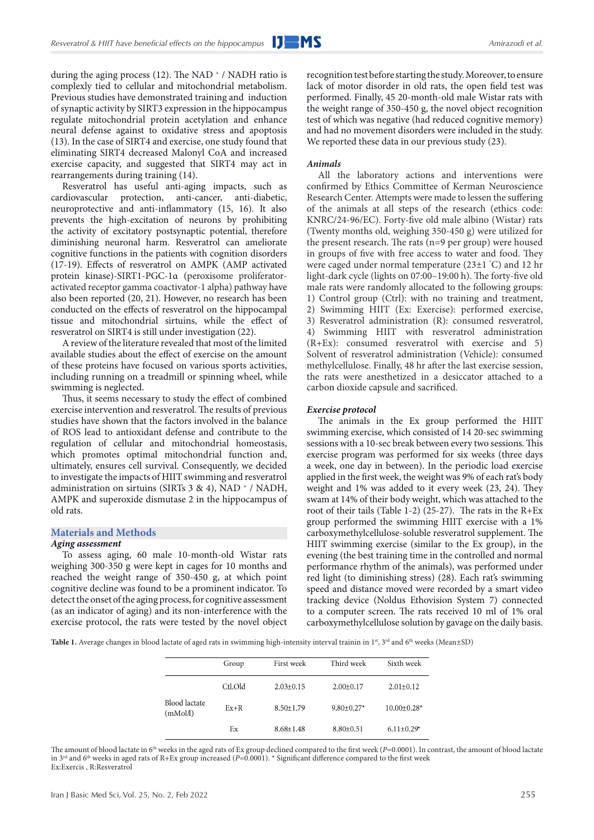during the aging process (12). The NAD  $^+$  / NADH ratio is complexly tied to cellular and mitochondrial metabolism. Previous studies have demonstrated training and induction of synaptic activity by SIRT3 expression in the hippocampus regulate mitochondrial protein acetylation and enhance neural defense against to oxidative stress and apoptosis (13). In the case of SIRT4 and exercise, one study found that eliminating SIRT4 decreased Malonyl CoA and increased exercise capacity, and suggested that SIRT4 may act in rearrangements during training (14).

Resveratrol has useful anti-aging impacts, such as cardiovascular protection, anti-cancer, anti-diabetic, neuroprotective and anti-inflammatory (15, 16). It also prevents the high-excitation of neurons by prohibiting the activity of excitatory postsynaptic potential, therefore diminishing neuronal harm. Resveratrol can ameliorate cognitive functions in the patients with cognition disorders (17-19). Effects of resveratrol on AMPK (AMP activated protein kinase)-SIRT1-PGC-1α (peroxisome proliferatoractivated receptor gamma coactivator-1 alpha) pathway have also been reported (20, 21). However, no research has been conducted on the effects of resveratrol on the hippocampal tissue and mitochondrial sirtuins, while the effect of resveratrol on SIRT4 is still under investigation (22).

A review of the literature revealed that most of the limited available studies about the effect of exercise on the amount of these proteins have focused on various sports activities, including running on a treadmill or spinning wheel, while swimming is neglected.

Thus, it seems necessary to study the effect of combined exercise intervention and resveratrol. The results of previous studies have shown that the factors involved in the balance of ROS lead to antioxidant defense and contribute to the regulation of cellular and mitochondrial homeostasis, which promotes optimal mitochondrial function and, ultimately, ensures cell survival. Consequently, we decided to investigate the impacts of HIIT swimming and resveratrol administration on sirtuins (SIRTs  $3 \& 4$ ), NAD  $^+$  / NADH, AMPK and superoxide dismutase 2 in the hippocampus of old rats.

#### **Materials and Methods**

#### *Aging assessment*

To assess aging, 60 male 10-month-old Wistar rats weighing 300-350 g were kept in cages for 10 months and reached the weight range of 350-450 g, at which point cognitive decline was found to be a prominent indicator. To detect the onset of the aging process, for cognitive assessment (as an indicator of aging) and its non-interference with the exercise protocol, the rats were tested by the novel object

recognition test before starting the study. Moreover, to ensure lack of motor disorder in old rats, the open field test was performed. Finally, 45 20-month-old male Wistar rats with the weight range of 350-450 g, the novel object recognition test of which was negative (had reduced cognitive memory) and had no movement disorders were included in the study. We reported these data in our previous study (23).

#### *Animals*

All the laboratory actions and interventions were confirmed by Ethics Committee of Kerman Neuroscience Research Center. Attempts were made to lessen the suffering of the animals at all steps of the research (ethics code: KNRC/24-96/EC). Forty-five old male albino (Wistar) rats (Twenty months old, weighing 350-450 g) were utilized for the present research. The rats (n=9 per group) were housed in groups of five with free access to water and food. They were caged under normal temperature (23±1 ° C) and 12 hr light-dark cycle (lights on 07:00–19:00 h). The forty-five old male rats were randomly allocated to the following groups: 1) Control group (Ctrl): with no training and treatment, 2) Swimming HIIT (Ex: Exercise): performed exercise, 3) Resveratrol administration (R): consumed resveratrol, 4) Swimming HIIT with resveratrol administration (R+Ex): consumed resveratrol with exercise and 5) Solvent of resveratrol administration (Vehicle): consumed methylcellulose. Finally, 48 hr after the last exercise session, the rats were anesthetized in a desiccator attached to a carbon dioxide capsule and sacrificed.

#### *Exercise protocol*

The animals in the Ex group performed the HIIT swimming exercise, which consisted of 14 20-sec swimming sessions with a 10-sec break between every two sessions. This exercise program was performed for six weeks (three days a week, one day in between). In the periodic load exercise applied in the first week, the weight was 9% of each rat's body weight and 1% was added to it every week (23, 24). They swam at 14% of their body weight, which was attached to the root of their tails (Table 1-2) (25-27). The rats in the  $R+Ex$ group performed the swimming HIIT exercise with a 1% carboxymethylcellulose-soluble resveratrol supplement. The HIIT swimming exercise (similar to the Ex group), in the evening (the best training time in the controlled and normal performance rhythm of the animals), was performed under red light (to diminishing stress) (28). Each rat's swimming speed and distance moved were recorded by a smart video tracking device (Noldus Ethovision System 7) connected to a computer screen. The rats received 10 ml of 1% oral carboxymethylcellulose solution by gavage on the daily basis.

Table 1. Average changes in blood lactate of aged rats in swimming high-intensity interval trainin in 1st, 3rd and 6<sup>th</sup> weeks (Mean±SD)

|                           | Group   | First week      | Third week        | Sixth week         |
|---------------------------|---------|-----------------|-------------------|--------------------|
|                           | Ctl.Old | $2.03 \pm 0.15$ | $2.00 \pm 0.17$   | $2.01 \pm 0.12$    |
| Blood lactate<br>(mMol/l) | $Ex+R$  | $8.50 \pm 1.79$ | $9.80 \pm 0.27$ * | $10.00 \pm 0.28$ * |
|                           | Ex      | $8.68 \pm 1.48$ | $8.80 \pm 0.51$   | $6.11 \pm 0.29*$   |

The amount of blood lactate in 6<sup>th</sup> weeks in the aged rats of Ex group declined compared to the first week (*P*=0.0001). In contrast, the amount of blood lactate in 3<sup>rd</sup> and 6<sup>th</sup> weeks in aged rats of R+Ex group increased (*P*=0.0001). \* Significant difference compared to the first week Ex:Exercis , R:Resveratrol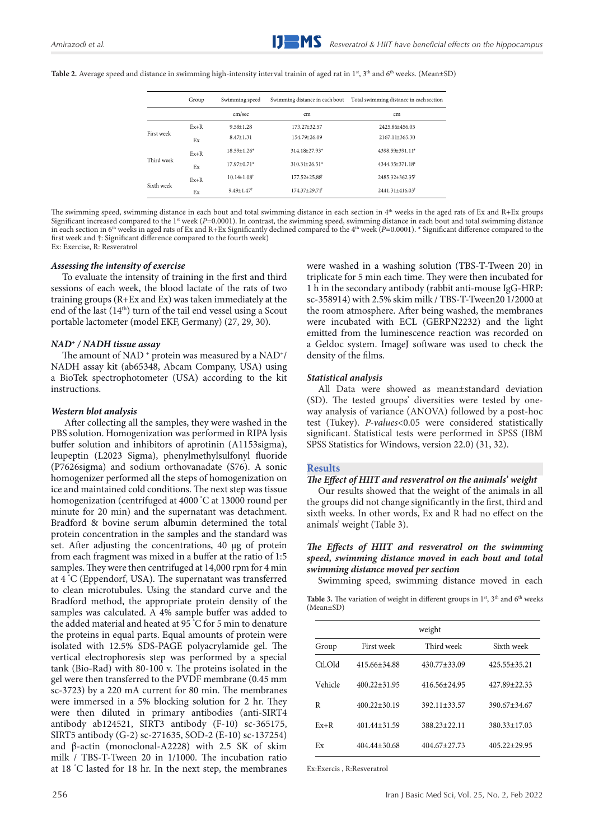|  |  | Table 2. Average speed and distance in swimming high-intensity interval trainin of aged rat in 1 <sup>st</sup> , 3 <sup>th</sup> and 6 <sup>th</sup> weeks. (Mean±SD) |  |  |  |  |  |
|--|--|-----------------------------------------------------------------------------------------------------------------------------------------------------------------------|--|--|--|--|--|
|--|--|-----------------------------------------------------------------------------------------------------------------------------------------------------------------------|--|--|--|--|--|

|            | Group  | Swimming speed                |                                 | Swimming distance in each bout Total swimming distance in each section |
|------------|--------|-------------------------------|---------------------------------|------------------------------------------------------------------------|
|            |        | cm/sec                        | cm                              | cm                                                                     |
| First week | $Ex+R$ | $9.59 \pm 1.28$               | 173.27±32.57                    | 2425.86±456.05                                                         |
|            | Ex     | $8.47 \pm 1.31$               | 154.79±26.09                    | $2167.11 \pm 365.30$                                                   |
| Third week | $Ex+R$ | $18.59 \pm 1.26$ *            | 314.18±27.93*                   | 4398.59±391.11*                                                        |
|            | Ex     | 17.97±0.71*                   | $310.31 \pm 26.51*$             | 4344.35±371.18*                                                        |
| Sixth week | $Ex+R$ | $10.14 \pm 1.08$ <sup>†</sup> | $177.52 + 25.88$ <sup>†</sup>   | 2485.32+362.35                                                         |
|            | Ex     | $9.49 \pm 1.47$               | $174.37 \pm 29.71$ <sup>†</sup> | 2441.31±416.03 <sup>†</sup>                                            |

The swimming speed, swimming distance in each bout and total swimming distance in each section in 4<sup>th</sup> weeks in the aged rats of Ex and R+Ex groups Significant increased compared to the 1<sup>st</sup> week (*P*=0.0001). In contrast, the swimming speed, swimming distance in each bout and total swimming distance in each section in 6th weeks in aged rats of Ex and R+Ex Significantly declined compared to the 4th week (*P=*0.0001). \* Significant difference compared to the first week and †: Significant difference compared to the fourth week) Ex: Exercise, R: Resveratrol

#### *Assessing the intensity of exercise*

To evaluate the intensity of training in the first and third sessions of each week, the blood lactate of the rats of two training groups (R+Ex and Ex) was taken immediately at the end of the last (14th) turn of the tail end vessel using a Scout portable lactometer (model EKF, Germany) (27, 29, 30).

### *NAD+ / NADH tissue assay*

The amount of NAD<sup>+</sup> protein was measured by a NAD<sup>+</sup>/ NADH assay kit (ab65348, Abcam Company, USA) using a BioTek spectrophotometer (USA) according to the kit instructions.

### *Western blot analysis*

After collecting all the samples, they were washed in the PBS solution. Homogenization was performed in RIPA lysis buffer solution and inhibitors of aprotinin (A1153sigma), leupeptin (L2023 Sigma), phenylmethylsulfonyl fluoride (P7626sigma) and sodium orthovanadate (S76). A sonic homogenizer performed all the steps of homogenization on ice and maintained cold conditions. The next step was tissue homogenization (centrifuged at 4000 ° C at 13000 round per minute for 20 min) and the supernatant was detachment. Bradford & bovine serum albumin determined the total protein concentration in the samples and the standard was set. After adjusting the concentrations, 40 μg of protein from each fragment was mixed in a buffer at the ratio of 1:5 samples. They were then centrifuged at 14,000 rpm for 4 min at 4 ° C (Eppendorf, USA). The supernatant was transferred to clean microtubules. Using the standard curve and the Bradford method, the appropriate protein density of the samples was calculated. A 4% sample buffer was added to the added material and heated at 95 ° C for 5 min to denature the proteins in equal parts. Equal amounts of protein were isolated with 12.5% SDS-PAGE polyacrylamide gel. The vertical electrophoresis step was performed by a special tank (Bio-Rad) with 80-100 v. The proteins isolated in the gel were then transferred to the PVDF membrane (0.45 mm sc-3723) by a 220 mA current for 80 min. The membranes were immersed in a 5% blocking solution for 2 hr. They were then diluted in primary antibodies (anti-SIRT4 antibody ab124521, SIRT3 antibody (F-10) sc-365175, SIRT5 antibody (G-2) sc-271635, SOD-2 (E-10) sc-137254) and β-actin (monoclonal-A2228) with 2.5 SK of skim milk / TBS-T-Tween 20 in 1/1000. The incubation ratio at 18 ° C lasted for 18 hr. In the next step, the membranes

were washed in a washing solution (TBS-T-Tween 20) in triplicate for 5 min each time. They were then incubated for 1 h in the secondary antibody (rabbit anti-mouse IgG-HRP: sc-358914) with 2.5% skim milk / TBS-T-Tween20 1/2000 at the room atmosphere. After being washed, the membranes were incubated with ECL (GERPN2232) and the light emitted from the luminescence reaction was recorded on a Geldoc system. ImageJ software was used to check the density of the films.

#### *Statistical analysis*

All Data were showed as mean±standard deviation (SD). The tested groups' diversities were tested by oneway analysis of variance (ANOVA) followed by a post-hoc test (Tukey). *P-values*<0.05 were considered statistically significant. Statistical tests were performed in SPSS (IBM SPSS Statistics for Windows, version 22.0) (31, 32).

#### **Results**

#### *The Effect of HIIT and resveratrol on the animals' weight*

Our results showed that the weight of the animals in all the groups did not change significantly in the first, third and sixth weeks. In other words, Ex and R had no effect on the animals' weight (Table 3).

#### *The Effects of HIIT and resveratrol on the swimming speed, swimming distance moved in each bout and total swimming distance moved per section*

Swimming speed, swimming distance moved in each

Table 3. The variation of weight in different groups in 1<sup>st</sup>, 3<sup>th</sup> and 6<sup>th</sup> weeks (Mean±SD)

|         |                  | weight           |                  |
|---------|------------------|------------------|------------------|
| Group   | First week       | Third week       | Sixth week       |
| Ctl.Old | 415.66+34.88     | 430.77±33.09     | 425.55+35.21     |
| Vehicle | $400.22 + 31.95$ | 416.56+24.95     | 427.89+22.33     |
| R       | $400.22 + 30.19$ | $392.11 + 33.57$ | 390.67+34.67     |
| $Fx+R$  | $401.44 + 31.59$ | $388.23 + 22.11$ | 380.33+17.03     |
| Ex      | $404.44 + 30.68$ | $404.67 + 27.73$ | $405.22 + 29.95$ |

Ex:Exercis , R:Resveratrol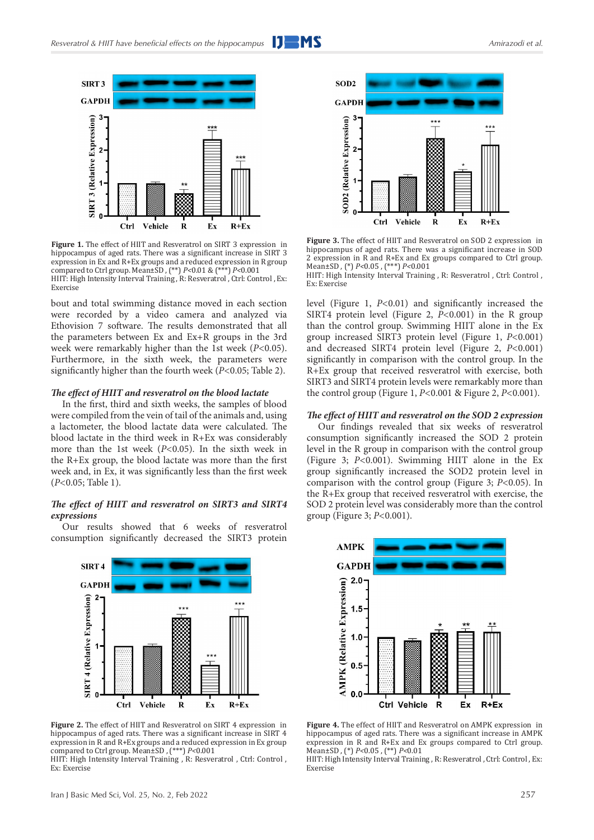

**Figure 1.** The effect of HIIT and Resveratrol on SIRT 3 expression in hippocampus of aged rats. There was a significant increase in SIRT 3 expression in Ex and R+Ex groups and a reduced expression in R group compared to Ctrl group. Mean±SD , (\*\*) *P<*0.01 & (\*\*\*) *P<*0.001 HIIT: High Intensity Interval Training , R: Resveratrol , Ctrl: Control , Ex: Exercise

bout and total swimming distance moved in each section were recorded by a video camera and analyzed via Ethovision 7 software. The results demonstrated that all the parameters between Ex and Ex+R groups in the 3rd week were remarkably higher than the 1st week (*P<*0.05). Furthermore, in the sixth week, the parameters were significantly higher than the fourth week (*P<*0.05; Table 2).

#### *The effect of HIIT and resveratrol on the blood lactate*

In the first, third and sixth weeks, the samples of blood were compiled from the vein of tail of the animals and, using a lactometer, the blood lactate data were calculated. The blood lactate in the third week in R+Ex was considerably more than the 1st week (*P<*0.05). In the sixth week in the R+Ex group, the blood lactate was more than the first week and, in Ex, it was significantly less than the first week (*P<*0.05; Table 1).

#### *The effect of HIIT and resveratrol on SIRT3 and SIRT4 expressions*

Our results showed that 6 weeks of resveratrol consumption significantly decreased the SIRT3 protein



**Figure 2.** The effect of HIIT and Resveratrol on SIRT 4 expression in hippocampus of aged rats. There was a significant increase in SIRT 4 expression in R and R+Ex groups and a reduced expression in Ex group compared to Ctrl group. Mean±SD , (\*\*\*) *P<*0.001

HIIT: High Intensity Interval Training , R: Resveratrol , Ctrl: Control , Ex: Exercise



**Figure 3.** The effect of HIIT and Resveratrol on SOD 2 expression in hippocampus of aged rats. There was a significant increase in SOD 2 expression in R and R+Ex and Ex groups compared to Ctrl group. Mean±SD , (\*) *P<*0.05 , (\*\*\*) *P<*0.001

HIIT: High Intensity Interval Training , R: Resveratrol , Ctrl: Control , Ex: Exercise

level (Figure 1, *P<*0.01) and significantly increased the SIRT4 protein level (Figure 2, *P<*0.001) in the R group than the control group. Swimming HIIT alone in the Ex group increased SIRT3 protein level (Figure 1, *P<*0.001) and decreased SIRT4 protein level (Figure 2, *P<*0.001) significantly in comparison with the control group. In the R+Ex group that received resveratrol with exercise, both SIRT3 and SIRT4 protein levels were remarkably more than the control group (Figure 1, *P<*0.001 & Figure 2, *P<*0.001).

#### *The effect of HIIT and resveratrol on the SOD 2 expression*

Our findings revealed that six weeks of resveratrol consumption significantly increased the SOD 2 protein level in the R group in comparison with the control group (Figure 3; *P<*0.001). Swimming HIIT alone in the Ex group significantly increased the SOD2 protein level in comparison with the control group (Figure 3; *P<*0.05). In the R+Ex group that received resveratrol with exercise, the SOD 2 protein level was considerably more than the control group (Figure 3; *P<*0.001).



**Figure 4.** The effect of HIIT and Resveratrol on AMPK expression in hippocampus of aged rats. There was a significant increase in AMPK expression in R and R+Ex and Ex groups compared to Ctrl group. Mean±SD , (\*) *P<*0.05 , (\*\*) *P<*0.01

HIIT: High Intensity Interval Training , R: Resveratrol , Ctrl: Control , Ex: Exercise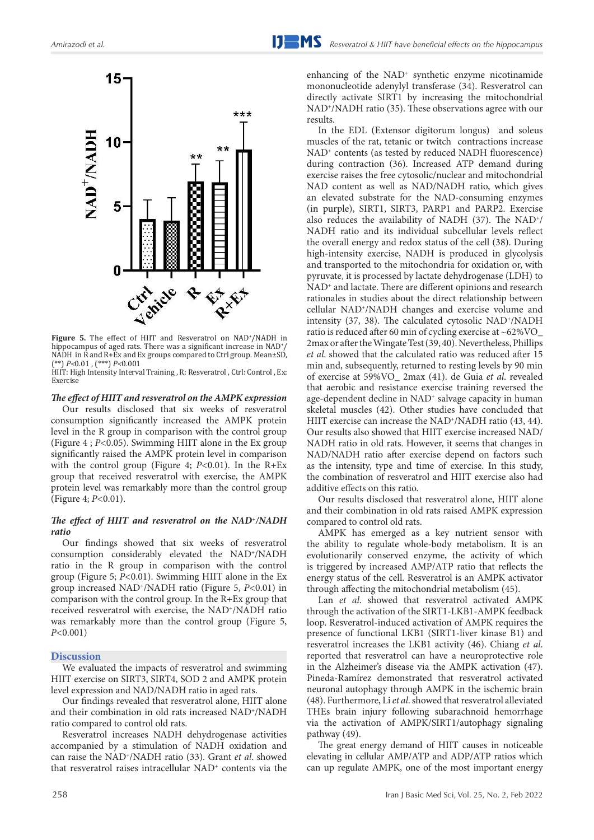

**Figure 5.** The effect of HIIT and Resveratrol on NAD+ /NADH in hippocampus of aged rats. There was a significant increase in NAD<sup>+</sup>/ NADH in R and R+Ex and Ex groups compared to Ctrl group. Mean±SD, (\*\*) *P<*0.01 , (\*\*\*) *P<*0.001

HIIT: High Intensity Interval Training , R: Resveratrol , Ctrl: Control , Ex: Exercise

#### *The effect of HIIT and resveratrol on the AMPK expression*

Our results disclosed that six weeks of resveratrol consumption significantly increased the AMPK protein level in the R group in comparison with the control group (Figure 4 ; *P<*0.05). Swimming HIIT alone in the Ex group significantly raised the AMPK protein level in comparison with the control group (Figure 4; *P<*0.01). In the R+Ex group that received resveratrol with exercise, the AMPK protein level was remarkably more than the control group (Figure 4; *P<*0.01).

#### *The effect of HIIT and resveratrol on the NAD+/NADH ratio*

Our findings showed that six weeks of resveratrol consumption considerably elevated the NAD+/NADH ratio in the R group in comparison with the control group (Figure 5; *P<*0.01). Swimming HIIT alone in the Ex group increased NAD+/NADH ratio (Figure 5, *P<*0.01) in comparison with the control group. In the R+Ex group that received resveratrol with exercise, the NAD+/NADH ratio was remarkably more than the control group (Figure 5, *P<*0.001)

#### **Discussion**

We evaluated the impacts of resveratrol and swimming HIIT exercise on SIRT3, SIRT4, SOD 2 and AMPK protein level expression and NAD/NADH ratio in aged rats.

Our findings revealed that resveratrol alone, HIIT alone and their combination in old rats increased NAD+/NADH ratio compared to control old rats.

Resveratrol increases NADH dehydrogenase activities accompanied by a stimulation of NADH oxidation and can raise the NAD+/NADH ratio (33). Grant *et al*. showed that resveratrol raises intracellular NAD<sup>+</sup> contents via the

enhancing of the NAD+ synthetic enzyme nicotinamide mononucleotide adenylyl transferase (34). Resveratrol can directly activate SIRT1 by increasing the mitochondrial NAD+/NADH ratio (35). These observations agree with our results.

In the EDL (Extensor digitorum longus) and soleus muscles of the rat, tetanic or twitch contractions increase NAD<sup>+</sup> contents (as tested by reduced NADH fluorescence) during contraction (36). Increased ATP demand during exercise raises the free cytosolic/nuclear and mitochondrial NAD content as well as NAD/NADH ratio, which gives an elevated substrate for the NAD-consuming enzymes (in purple), SIRT1, SIRT3, PARP1 and PARP2. Exercise also reduces the availability of NADH (37). The NAD+/ NADH ratio and its individual subcellular levels reflect the overall energy and redox status of the cell (38). During high-intensity exercise, NADH is produced in glycolysis and transported to the mitochondria for oxidation or, with pyruvate, it is processed by lactate dehydrogenase (LDH) to NAD<sup>+</sup> and lactate. There are different opinions and research rationales in studies about the direct relationship between cellular NAD+/NADH changes and exercise volume and intensity (37, 38). The calculated cytosolic NAD+/NADH ratio is reduced after 60 min of cycling exercise at ~62%VO\_ 2max or after the Wingate Test (39, 40). Nevertheless, Phillips *et al*. showed that the calculated ratio was reduced after 15 min and, subsequently, returned to resting levels by 90 min of exercise at 59%VO\_ 2max (41). de Guia *et al*. revealed that aerobic and resistance exercise training reversed the age-dependent decline in NAD<sup>+</sup> salvage capacity in human skeletal muscles (42). Other studies have concluded that HIIT exercise can increase the NAD<sup>+</sup>/NADH ratio (43, 44). Our results also showed that HIIT exercise increased NAD/ NADH ratio in old rats. However, it seems that changes in NAD/NADH ratio after exercise depend on factors such as the intensity, type and time of exercise. In this study, the combination of resveratrol and HIIT exercise also had additive effects on this ratio.

Our results disclosed that resveratrol alone, HIIT alone and their combination in old rats raised AMPK expression compared to control old rats.

AMPK has emerged as a key nutrient sensor with the ability to regulate whole-body metabolism. It is an evolutionarily conserved enzyme, the activity of which is triggered by increased AMP/ATP ratio that reflects the energy status of the cell. Resveratrol is an AMPK activator through affecting the mitochondrial metabolism (45).

Lan *et al*. showed that resveratrol activated AMPK through the activation of the SIRT1-LKB1-AMPK feedback loop. Resveratrol-induced activation of AMPK requires the presence of functional LKB1 (SIRT1-liver kinase B1) and resveratrol increases the LKB1 activity (46). Chiang *et al*. reported that resveratrol can have a neuroprotective role in the Alzheimer's disease via the AMPK activation (47). Pineda-Ramírez demonstrated that resveratrol activated neuronal autophagy through AMPK in the ischemic brain (48). Furthermore, Li *et al*. showed that resveratrol alleviated THEs brain injury following subarachnoid hemorrhage via the activation of AMPK/SIRT1/autophagy signaling pathway (49).

The great energy demand of HIIT causes in noticeable elevating in cellular AMP/ATP and ADP/ATP ratios which can up regulate AMPK, one of the most important energy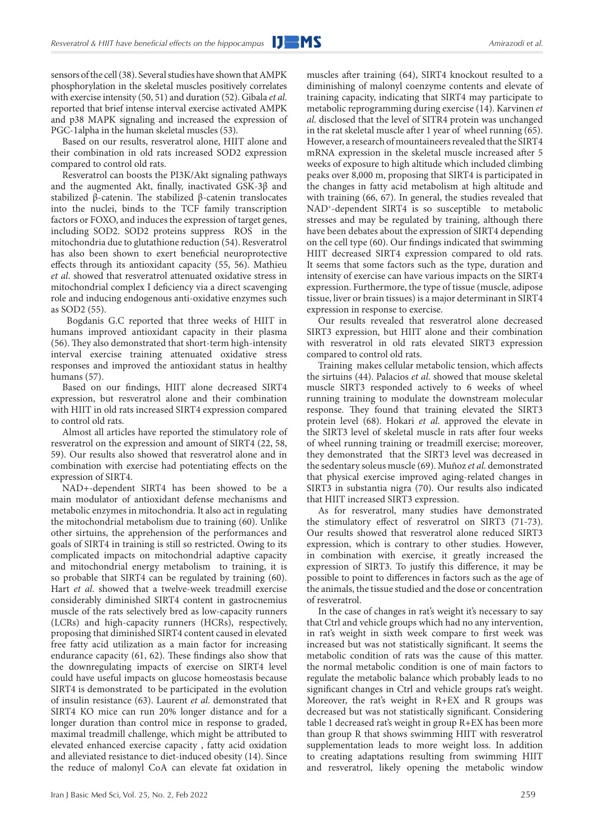sensors of the cell (38). Several studies have shown that AMPK phosphorylation in the skeletal muscles positively correlates with exercise intensity (50, 51) and duration (52). Gibala *et al*. reported that brief intense interval exercise activated AMPK and p38 MAPK signaling and increased the expression of PGC-1alpha in the human skeletal muscles (53).

Based on our results, resveratrol alone, HIIT alone and their combination in old rats increased SOD2 expression compared to control old rats.

Resveratrol can boosts the PI3K/Akt signaling pathways and the augmented Akt, finally, inactivated GSK-3β and stabilized β-catenin. The stabilized β-catenin translocates into the nuclei, binds to the TCF family transcription factors or FOXO, and induces the expression of target genes, including SOD2. SOD2 proteins suppress ROS in the mitochondria due to glutathione reduction (54). Resveratrol has also been shown to exert beneficial neuroprotective effects through its antioxidant capacity (55, 56). Mathieu *et al*. showed that resveratrol attenuated oxidative stress in mitochondrial complex I deficiency via a direct scavenging role and inducing endogenous anti-oxidative enzymes such as SOD2 (55).

 Bogdanis G.C reported that three weeks of HIIT in humans improved antioxidant capacity in their plasma (56). They also demonstrated that short-term high-intensity interval exercise training attenuated oxidative stress responses and improved the antioxidant status in healthy humans (57).

Based on our findings, HIIT alone decreased SIRT4 expression, but resveratrol alone and their combination with HIIT in old rats increased SIRT4 expression compared to control old rats.

Almost all articles have reported the stimulatory role of resveratrol on the expression and amount of SIRT4 (22, 58, 59). Our results also showed that resveratrol alone and in combination with exercise had potentiating effects on the expression of SIRT4.

NAD+-dependent SIRT4 has been showed to be a main modulator of antioxidant defense mechanisms and metabolic enzymes in mitochondria. It also act in regulating the mitochondrial metabolism due to training (60). Unlike other sirtuins, the apprehension of the performances and goals of SIRT4 in training is still so restricted. Owing to its complicated impacts on mitochondrial adaptive capacity and mitochondrial energy metabolism to training, it is so probable that SIRT4 can be regulated by training (60). Hart *et al*. showed that a twelve-week treadmill exercise considerably diminished SIRT4 content in gastrocnemius muscle of the rats selectively bred as low-capacity runners (LCRs) and high-capacity runners (HCRs), respectively, proposing that diminished SIRT4 content caused in elevated free fatty acid utilization as a main factor for increasing endurance capacity (61, 62). These findings also show that the downregulating impacts of exercise on SIRT4 level could have useful impacts on glucose homeostasis because SIRT4 is demonstrated to be participated in the evolution of insulin resistance (63). Laurent *et al*. demonstrated that SIRT4 KO mice can run 20% longer distance and for a longer duration than control mice in response to graded, maximal treadmill challenge, which might be attributed to elevated enhanced exercise capacity , fatty acid oxidation and alleviated resistance to diet-induced obesity (14). Since the reduce of malonyl CoA can elevate fat oxidation in

muscles after training (64), SIRT4 knockout resulted to a diminishing of malonyl coenzyme contents and elevate of training capacity, indicating that SIRT4 may participate to metabolic reprogramming during exercise (14). Karvinen *et al*. disclosed that the level of SITR4 protein was unchanged in the rat skeletal muscle after 1 year of wheel running (65). However, a research of mountaineers revealed that the SIRT4 mRNA expression in the skeletal muscle increased after 5 weeks of exposure to high altitude which included climbing peaks over 8,000 m, proposing that SIRT4 is participated in the changes in fatty acid metabolism at high altitude and with training (66, 67). In general, the studies revealed that NAD+-dependent SIRT4 is so susceptible to metabolic stresses and may be regulated by training, although there have been debates about the expression of SIRT4 depending on the cell type (60). Our findings indicated that swimming HIIT decreased SIRT4 expression compared to old rats. It seems that some factors such as the type, duration and intensity of exercise can have various impacts on the SIRT4 expression. Furthermore, the type of tissue (muscle, adipose tissue, liver or brain tissues) is a major determinant in SIRT4 expression in response to exercise.

Our results revealed that resveratrol alone decreased SIRT3 expression, but HIIT alone and their combination with resveratrol in old rats elevated SIRT3 expression compared to control old rats.

Training makes cellular metabolic tension, which affects the sirtuins (44). Palacios *et al*. showed that mouse skeletal muscle SIRT3 responded actively to 6 weeks of wheel running training to modulate the downstream molecular response. They found that training elevated the SIRT3 protein level (68). Hokari *et al*. approved the elevate in the SIRT3 level of skeletal muscle in rats after four weeks of wheel running training or treadmill exercise; moreover, they demonstrated that the SIRT3 level was decreased in the sedentary soleus muscle (69). Muñoz *et al*. demonstrated that physical exercise improved aging-related changes in SIRT3 in substantia nigra (70). Our results also indicated that HIIT increased SIRT3 expression.

As for resveratrol, many studies have demonstrated the stimulatory effect of resveratrol on SIRT3 (71-73). Our results showed that resveratrol alone reduced SIRT3 expression, which is contrary to other studies. However, in combination with exercise, it greatly increased the expression of SIRT3. To justify this difference, it may be possible to point to differences in factors such as the age of the animals, the tissue studied and the dose or concentration of resveratrol.

In the case of changes in rat's weight it's necessary to say that Ctrl and vehicle groups which had no any intervention, in rat's weight in sixth week compare to first week was increased but was not statistically significant. It seems the metabolic condition of rats was the cause of this matter. the normal metabolic condition is one of main factors to regulate the metabolic balance which probably leads to no significant changes in Ctrl and vehicle groups rat's weight. Moreover, the rat's weight in R+EX and R groups was decreased but was not statistically significant. Considering table 1 decreased rat's weight in group R+EX has been more than group R that shows swimming HIIT with resveratrol supplementation leads to more weight loss. In addition to creating adaptations resulting from swimming HIIT and resveratrol, likely opening the metabolic window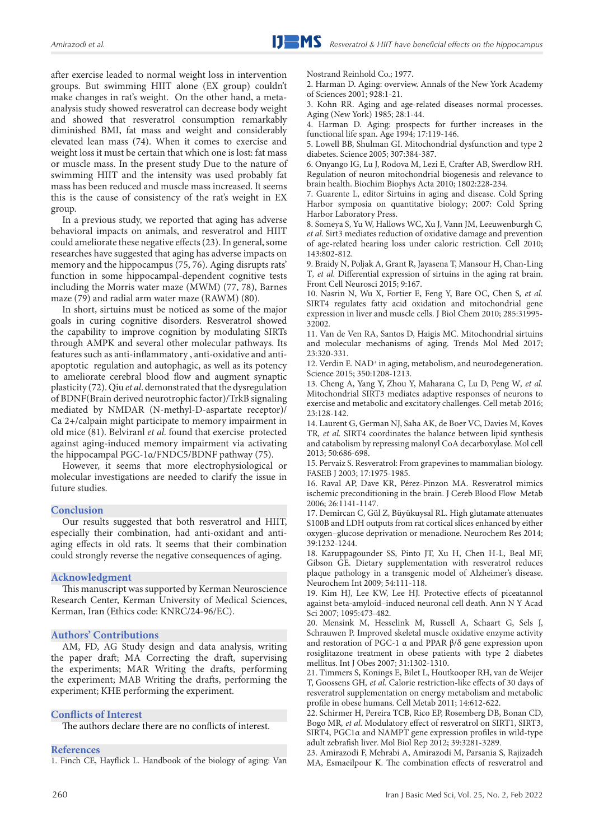after exercise leaded to normal weight loss in intervention groups. But swimming HIIT alone (EX group) couldn't make changes in rat's weight. On the other hand, a metaanalysis study showed resveratrol can decrease body weight and showed that resveratrol consumption remarkably diminished BMI, fat mass and weight and considerably elevated lean mass (74). When it comes to exercise and weight loss it must be certain that which one is lost: fat mass or muscle mass. In the present study Due to the nature of swimming HIIT and the intensity was used probably fat mass has been reduced and muscle mass increased. It seems this is the cause of consistency of the rat's weight in EX group.

In a previous study, we reported that aging has adverse behavioral impacts on animals, and resveratrol and HIIT could ameliorate these negative effects (23). In general, some researches have suggested that aging has adverse impacts on memory and the hippocampus (75, 76). Aging disrupts rats' function in some hippocampal-dependent cognitive tests including the Morris water maze (MWM) (77, 78), Barnes maze (79) and radial arm water maze (RAWM) (80).

In short, sirtuins must be noticed as some of the major goals in curing cognitive disorders. Resveratrol showed the capability to improve cognition by modulating SIRTs through AMPK and several other molecular pathways. Its features such as anti-inflammatory , anti-oxidative and antiapoptotic regulation and autophagic, as well as its potency to ameliorate cerebral blood flow and augment synaptic plasticity (72). Qiu *et al*. demonstrated that the dysregulation of BDNF(Brain derived neurotrophic factor)/TrkB signaling mediated by NMDAR (N-methyl-D-aspartate receptor)/ Ca 2+/calpain might participate to memory impairment in old mice (81). Belviranl *et al*. found that exercise protected against aging-induced memory impairment via activating the hippocampal PGC-1α/FNDC5/BDNF pathway (75).

However, it seems that more electrophysiological or molecular investigations are needed to clarify the issue in future studies.

#### **Conclusion**

Our results suggested that both resveratrol and HIIT, especially their combination, had anti-oxidant and antiaging effects in old rats. It seems that their combination could strongly reverse the negative consequences of aging.

#### **Acknowledgment**

This manuscript was supported by Kerman Neuroscience Research Center, Kerman University of Medical Sciences, Kerman, Iran (Ethics code: KNRC/24-96/EC).

#### **Authors' Contributions**

AM, FD, AG Study design and data analysis, writing the paper draft; MA Correcting the draft, supervising the experiments; MAR Writing the drafts, performing the experiment; MAB Writing the drafts, performing the experiment; KHE performing the experiment.

#### **Conflicts of Interest**

The authors declare there are no conflicts of interest.

#### **References**

1. Finch CE, Hayflick L. Handbook of the biology of aging: Van

Nostrand Reinhold Co.; 1977.

2. Harman D. Aging: overview. Annals of the New York Academy of Sciences 2001; 928:1-21.

3. Kohn RR. Aging and age-related diseases normal processes. Aging (New York) 1985; 28:1-44.

4. Harman D. Aging: prospects for further increases in the functional life span. Age 1994; 17:119-146.

5. Lowell BB, Shulman GI. Mitochondrial dysfunction and type 2 diabetes. Science 2005; 307:384-387.

6. Onyango IG, Lu J, Rodova M, Lezi E, Crafter AB, Swerdlow RH. Regulation of neuron mitochondrial biogenesis and relevance to brain health. Biochim Biophys Acta 2010; 1802:228-234.

7. Guarente L, editor Sirtuins in aging and disease. Cold Spring Harbor symposia on quantitative biology; 2007: Cold Spring Harbor Laboratory Press.

8. Someya S, Yu W, Hallows WC, Xu J, Vann JM, Leeuwenburgh C*, et al.* Sirt3 mediates reduction of oxidative damage and prevention of age-related hearing loss under caloric restriction. Cell 2010; 143:802-812.

9. Braidy N, Poljak A, Grant R, Jayasena T, Mansour H, Chan-Ling T*, et al.* Differential expression of sirtuins in the aging rat brain. Front Cell Neurosci 2015; 9:167.

10. Nasrin N, Wu X, Fortier E, Feng Y, Bare OC, Chen S*, et al.* SIRT4 regulates fatty acid oxidation and mitochondrial gene expression in liver and muscle cells. J Biol Chem 2010; 285:31995- 32002.

11. Van de Ven RA, Santos D, Haigis MC. Mitochondrial sirtuins and molecular mechanisms of aging. Trends Mol Med 2017; 23:320-331.

12. Verdin E. NAD<sup>+</sup> in aging, metabolism, and neurodegeneration. Science 2015; 350:1208-1213.

13. Cheng A, Yang Y, Zhou Y, Maharana C, Lu D, Peng W*, et al.* Mitochondrial SIRT3 mediates adaptive responses of neurons to exercise and metabolic and excitatory challenges. Cell metab 2016; 23:128-142.

14. Laurent G, German NJ, Saha AK, de Boer VC, Davies M, Koves TR*, et al.* SIRT4 coordinates the balance between lipid synthesis and catabolism by repressing malonyl CoA decarboxylase. Mol cell 2013; 50:686-698.

15. Pervaiz S. Resveratrol: From grapevines to mammalian biology. FASEB J 2003; 17:1975-1985.

16. Raval AP, Dave KR, Pérez-Pinzon MA. Resveratrol mimics ischemic preconditioning in the brain. J Cereb Blood Flow Metab 2006; 26:1141-1147.

17. Demircan C, Gül Z, Büyükuysal RL. High glutamate attenuates S100B and LDH outputs from rat cortical slices enhanced by either oxygen–glucose deprivation or menadione. Neurochem Res 2014; 39:1232-1244.

18. Karuppagounder SS, Pinto JT, Xu H, Chen H-L, Beal MF, Gibson GE. Dietary supplementation with resveratrol reduces plaque pathology in a transgenic model of Alzheimer's disease. Neurochem Int 2009; 54:111-118.

19. Kim HJ, Lee KW, Lee HJ. Protective effects of piceatannol against beta‐amyloid–induced neuronal cell death. Ann N Y Acad Sci 2007; 1095:473-482.

20. Mensink M, Hesselink M, Russell A, Schaart G, Sels J, Schrauwen P. Improved skeletal muscle oxidative enzyme activity and restoration of PGC-1 α and PPAR β/δ gene expression upon rosiglitazone treatment in obese patients with type 2 diabetes mellitus. Int J Obes 2007; 31:1302-1310.

21. Timmers S, Konings E, Bilet L, Houtkooper RH, van de Weijer T, Goossens GH*, et al.* Calorie restriction-like effects of 30 days of resveratrol supplementation on energy metabolism and metabolic profile in obese humans. Cell Metab 2011; 14:612-622.

22. Schirmer H, Pereira TCB, Rico EP, Rosemberg DB, Bonan CD, Bogo MR*, et al.* Modulatory effect of resveratrol on SIRT1, SIRT3, SIRT4, PGC1α and NAMPT gene expression profiles in wild-type adult zebrafish liver. Mol Biol Rep 2012; 39:3281-3289.

23. Amirazodi F, Mehrabi A, Amirazodi M, Parsania S, Rajizadeh MA, Esmaeilpour K. The combination effects of resveratrol and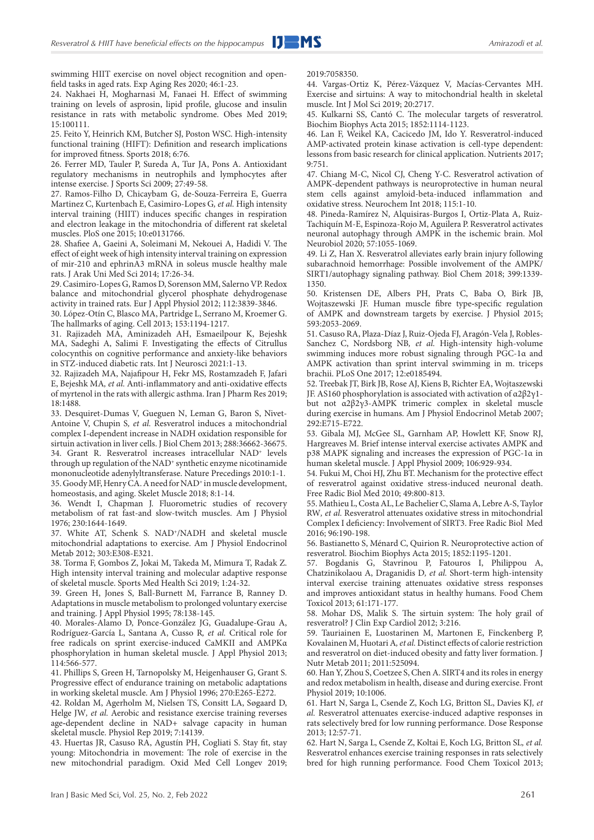swimming HIIT exercise on novel object recognition and openfield tasks in aged rats. Exp Aging Res 2020; 46:1-23.

24. Nakhaei H, Mogharnasi M, Fanaei H. Effect of swimming training on levels of asprosin, lipid profile, glucose and insulin resistance in rats with metabolic syndrome. Obes Med 2019; 15:100111.

25. Feito Y, Heinrich KM, Butcher SJ, Poston WSC. High-intensity functional training (HIFT): Definition and research implications for improved fitness. Sports 2018; 6:76.

26. Ferrer MD, Tauler P, Sureda A, Tur JA, Pons A. Antioxidant regulatory mechanisms in neutrophils and lymphocytes after intense exercise. J Sports Sci 2009; 27:49-58.

27. Ramos-Filho D, Chicaybam G, de-Souza-Ferreira E, Guerra Martinez C, Kurtenbach E, Casimiro-Lopes G*, et al.* High intensity interval training (HIIT) induces specific changes in respiration and electron leakage in the mitochondria of different rat skeletal muscles. PloS one 2015; 10:e0131766.

28. Shafiee A, Gaeini A, Soleimani M, Nekouei A, Hadidi V. The effect of eight week of high intensity interval training on expression of mir-210 and ephrinA3 mRNA in soleus muscle healthy male rats. J Arak Uni Med Sci 2014; 17:26-34.

29. Casimiro-Lopes G, Ramos D, Sorenson MM, Salerno VP. Redox balance and mitochondrial glycerol phosphate dehydrogenase activity in trained rats. Eur J Appl Physiol 2012; 112:3839-3846.

30. López-Otín C, Blasco MA, Partridge L, Serrano M, Kroemer G. The hallmarks of aging. Cell 2013; 153:1194-1217.

31. Rajizadeh MA, Aminizadeh AH, Esmaeilpour K, Bejeshk MA, Sadeghi A, Salimi F. Investigating the effects of Citrullus colocynthis on cognitive performance and anxiety-like behaviors in STZ-induced diabetic rats. Int J Neurosci 2021:1-13.

32. Rajizadeh MA, Najafipour H, Fekr MS, Rostamzadeh F, Jafari E, Bejeshk MA*, et al.* Anti-inflammatory and anti-oxidative effects of myrtenol in the rats with allergic asthma. Iran J Pharm Res 2019; 18:1488.

33. Desquiret-Dumas V, Gueguen N, Leman G, Baron S, Nivet-Antoine V, Chupin S*, et al.* Resveratrol induces a mitochondrial complex I-dependent increase in NADH oxidation responsible for sirtuin activation in liver cells. J Biol Chem 2013; 288:36662-36675. 34. Grant R. Resveratrol increases intracellular NAD+ levels through up regulation of the NAD<sup>+</sup> synthetic enzyme nicotinamide mononucleotide adenylyltransferase. Nature Precedings 2010:1-1. 35. Goody MF, Henry CA. A need for NAD+ in muscle development, homeostasis, and aging. Skelet Muscle 2018; 8:1-14.

36. Wendt I, Chapman J. Fluorometric studies of recovery metabolism of rat fast-and slow-twitch muscles. Am J Physiol 1976; 230:1644-1649.

37. White AT, Schenk S. NAD+/NADH and skeletal muscle mitochondrial adaptations to exercise. Am J Physiol Endocrinol Metab 2012; 303:E308-E321.

38. Torma F, Gombos Z, Jokai M, Takeda M, Mimura T, Radak Z. High intensity interval training and molecular adaptive response of skeletal muscle. Sports Med Health Sci 2019; 1:24-32.

39. Green H, Jones S, Ball-Burnett M, Farrance B, Ranney D. Adaptations in muscle metabolism to prolonged voluntary exercise and training. J Appl Physiol 1995; 78:138-145.

40. Morales-Alamo D, Ponce-González JG, Guadalupe-Grau A, Rodríguez-García L, Santana A, Cusso R*, et al.* Critical role for free radicals on sprint exercise-induced CaMKII and AMPKα phosphorylation in human skeletal muscle. J Appl Physiol 2013; 114:566-577.

41. Phillips S, Green H, Tarnopolsky M, Heigenhauser G, Grant S. Progressive effect of endurance training on metabolic adaptations in working skeletal muscle. Am J Physiol 1996; 270:E265-E272.

42. Roldan M, Agerholm M, Nielsen TS, Consitt LA, Søgaard D, Helge JW*, et al.* Aerobic and resistance exercise training reverses age‐dependent decline in NAD+ salvage capacity in human skeletal muscle. Physiol Rep 2019; 7:14139.

43. Huertas JR, Casuso RA, Agustín PH, Cogliati S. Stay fit, stay young: Mitochondria in movement: The role of exercise in the new mitochondrial paradigm. Oxid Med Cell Longev 2019; 2019:7058350.

44. Vargas-Ortiz K, Pérez-Vázquez V, Macías-Cervantes MH. Exercise and sirtuins: A way to mitochondrial health in skeletal muscle. Int J Mol Sci 2019; 20:2717.

45. Kulkarni SS, Cantó C. The molecular targets of resveratrol. Biochim Biophys Acta 2015; 1852:1114-1123.

46. Lan F, Weikel KA, Cacicedo JM, Ido Y. Resveratrol-induced AMP-activated protein kinase activation is cell-type dependent: lessons from basic research for clinical application. Nutrients 2017; 9:751.

47. Chiang M-C, Nicol CJ, Cheng Y-C. Resveratrol activation of AMPK-dependent pathways is neuroprotective in human neural stem cells against amyloid-beta-induced inflammation and oxidative stress. Neurochem Int 2018; 115:1-10.

48. Pineda-Ramírez N, Alquisiras-Burgos I, Ortiz-Plata A, Ruiz-Tachiquín M-E, Espinoza-Rojo M, Aguilera P. Resveratrol activates neuronal autophagy through AMPK in the ischemic brain. Mol Neurobiol 2020; 57:1055-1069.

49. Li Z, Han X. Resveratrol alleviates early brain injury following subarachnoid hemorrhage: Possible involvement of the AMPK/ SIRT1/autophagy signaling pathway. Biol Chem 2018; 399:1339- 1350.

50. Kristensen DE, Albers PH, Prats C, Baba O, Birk JB, Wojtaszewski JF. Human muscle fibre type‐specific regulation of AMPK and downstream targets by exercise. J Physiol 2015; 593:2053-2069.

51. Casuso RA, Plaza-Díaz J, Ruiz-Ojeda FJ, Aragón-Vela J, Robles-Sanchez C, Nordsborg NB*, et al.* High-intensity high-volume swimming induces more robust signaling through PGC-1α and AMPK activation than sprint interval swimming in m. triceps brachii. PLoS One 2017; 12:e0185494.

52. Treebak JT, Birk JB, Rose AJ, Kiens B, Richter EA, Wojtaszewski JF. AS160 phosphorylation is associated with activation of α2β2γ1 but not α2β2γ3-AMPK trimeric complex in skeletal muscle during exercise in humans. Am J Physiol Endocrinol Metab 2007; 292:E715-E722.

53. Gibala MJ, McGee SL, Garnham AP, Howlett KF, Snow RJ, Hargreaves M. Brief intense interval exercise activates AMPK and p38 MAPK signaling and increases the expression of PGC-1α in human skeletal muscle. J Appl Physiol 2009; 106:929-934.

54. Fukui M, Choi HJ, Zhu BT. Mechanism for the protective effect of resveratrol against oxidative stress-induced neuronal death. Free Radic Biol Med 2010; 49:800-813.

55. Mathieu L, Costa AL, Le Bachelier C, Slama A, Lebre A-S, Taylor RW*, et al.* Resveratrol attenuates oxidative stress in mitochondrial Complex I deficiency: Involvement of SIRT3. Free Radic Biol Med 2016; 96:190-198.

56. Bastianetto S, Ménard C, Quirion R. Neuroprotective action of resveratrol. Biochim Biophys Acta 2015; 1852:1195-1201.

57. Bogdanis G, Stavrinou P, Fatouros I, Philippou A, Chatzinikolaou A, Draganidis D*, et al.* Short-term high-intensity interval exercise training attenuates oxidative stress responses and improves antioxidant status in healthy humans. Food Chem Toxicol 2013; 61:171-177.

58. Mohar DS, Malik S. The sirtuin system: The holy grail of resveratrol? J Clin Exp Cardiol 2012; 3:216.

59. Tauriainen E, Luostarinen M, Martonen E, Finckenberg P, Kovalainen M, Huotari A*, et al.* Distinct effects of calorie restriction and resveratrol on diet-induced obesity and fatty liver formation. J Nutr Metab 2011; 2011:525094.

60. Han Y, Zhou S, Coetzee S, Chen A. SIRT4 and its roles in energy and redox metabolism in health, disease and during exercise. Front Physiol 2019; 10:1006.

61. Hart N, Sarga L, Csende Z, Koch LG, Britton SL, Davies KJ*, et al.* Resveratrol attenuates exercise-induced adaptive responses in rats selectively bred for low running performance. Dose Response 2013; 12:57-71.

62. Hart N, Sarga L, Csende Z, Koltai E, Koch LG, Britton SL*, et al.* Resveratrol enhances exercise training responses in rats selectively bred for high running performance. Food Chem Toxicol 2013;